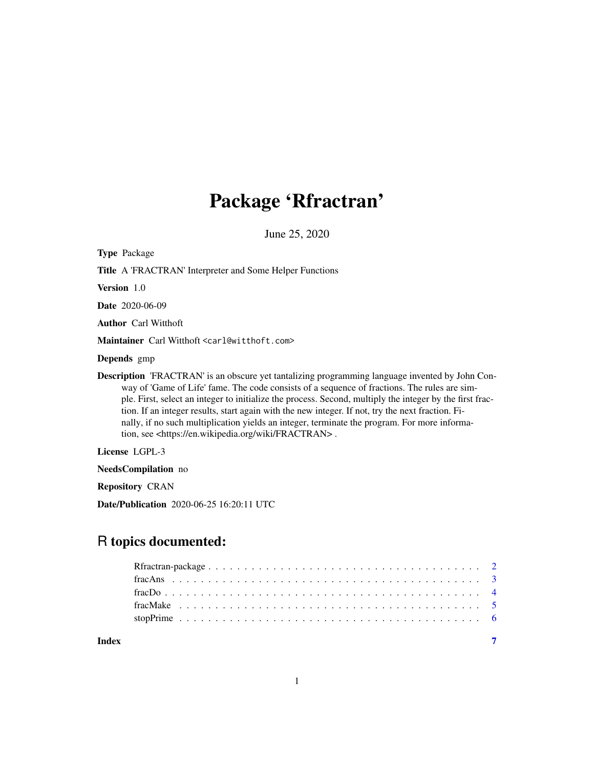## Package 'Rfractran'

June 25, 2020

| <b>Type Package</b>                                                                                                                                                                                                                                                                                                                                                                                                                                                                                                                                                                             |
|-------------------------------------------------------------------------------------------------------------------------------------------------------------------------------------------------------------------------------------------------------------------------------------------------------------------------------------------------------------------------------------------------------------------------------------------------------------------------------------------------------------------------------------------------------------------------------------------------|
| <b>Title A FRACTRAN'</b> Interpreter and Some Helper Functions                                                                                                                                                                                                                                                                                                                                                                                                                                                                                                                                  |
| Version 1.0                                                                                                                                                                                                                                                                                                                                                                                                                                                                                                                                                                                     |
| <b>Date</b> 2020-06-09                                                                                                                                                                                                                                                                                                                                                                                                                                                                                                                                                                          |
| <b>Author</b> Carl Witthoft                                                                                                                                                                                                                                                                                                                                                                                                                                                                                                                                                                     |
| Maintainer Carl Witthoft <carl@witthoft.com></carl@witthoft.com>                                                                                                                                                                                                                                                                                                                                                                                                                                                                                                                                |
| <b>Depends</b> gmp                                                                                                                                                                                                                                                                                                                                                                                                                                                                                                                                                                              |
| <b>Description</b> 'FRACTRAN' is an obscure yet tantalizing programming language invented by John Con-<br>way of 'Game of Life' fame. The code consists of a sequence of fractions. The rules are sim-<br>ple. First, select an integer to initialize the process. Second, multiply the integer by the first frac-<br>tion. If an integer results, start again with the new integer. If not, try the next fraction. Fi-<br>nally, if no such multiplication yields an integer, terminate the program. For more informa-<br>tion, see <https: en.wikipedia.org="" fractran="" wiki="">.</https:> |
| License LGPL-3                                                                                                                                                                                                                                                                                                                                                                                                                                                                                                                                                                                  |
| <b>NeedsCompilation</b> no                                                                                                                                                                                                                                                                                                                                                                                                                                                                                                                                                                      |
|                                                                                                                                                                                                                                                                                                                                                                                                                                                                                                                                                                                                 |

Repository CRAN

Date/Publication 2020-06-25 16:20:11 UTC

## R topics documented:

| Index |  |
|-------|--|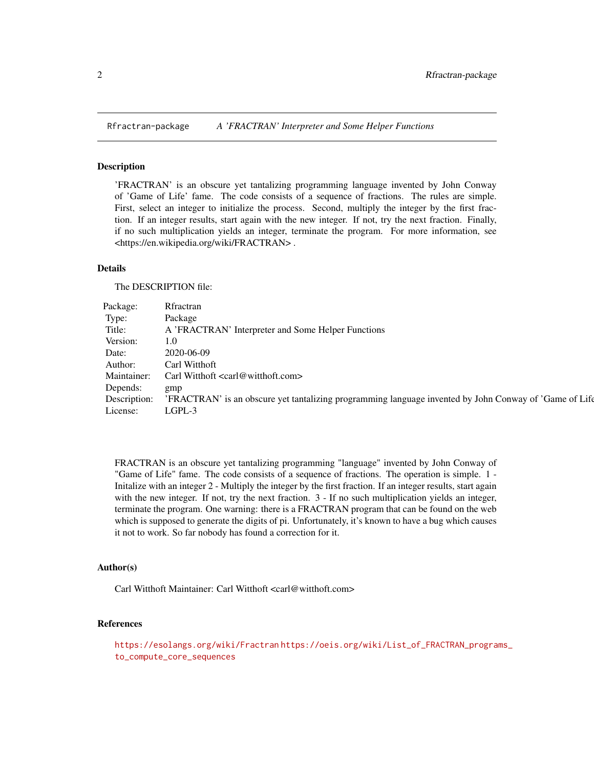<span id="page-1-0"></span>

#### Description

'FRACTRAN' is an obscure yet tantalizing programming language invented by John Conway of 'Game of Life' fame. The code consists of a sequence of fractions. The rules are simple. First, select an integer to initialize the process. Second, multiply the integer by the first fraction. If an integer results, start again with the new integer. If not, try the next fraction. Finally, if no such multiplication yields an integer, terminate the program. For more information, see <https://en.wikipedia.org/wiki/FRACTRAN> .

#### Details

The DESCRIPTION file:

| Package: Rfractran |                                                                                                                     |
|--------------------|---------------------------------------------------------------------------------------------------------------------|
| Type:              | Package                                                                                                             |
| Title:             | A 'FRACTRAN' Interpreter and Some Helper Functions                                                                  |
| Version: 1.0       |                                                                                                                     |
| Date:              | 2020-06-09                                                                                                          |
|                    | Author: Carl Witthoft                                                                                               |
|                    | Maintainer: Carl Witthoft <carl@witthoft.com></carl@witthoft.com>                                                   |
| Depends: gmp       |                                                                                                                     |
|                    | Description: 'FRACTRAN' is an obscure yet tantalizing programming language invented by John Conway of 'Game of Life |
| License: LGPL-3    |                                                                                                                     |

FRACTRAN is an obscure yet tantalizing programming "language" invented by John Conway of "Game of Life" fame. The code consists of a sequence of fractions. The operation is simple. 1 - Initalize with an integer 2 - Multiply the integer by the first fraction. If an integer results, start again with the new integer. If not, try the next fraction. 3 - If no such multiplication yields an integer, terminate the program. One warning: there is a FRACTRAN program that can be found on the web which is supposed to generate the digits of pi. Unfortunately, it's known to have a bug which causes it not to work. So far nobody has found a correction for it.

#### Author(s)

Carl Witthoft Maintainer: Carl Witthoft <carl@witthoft.com>

#### References

```
https://esolangs.org/wiki/Fractran https://oeis.org/wiki/List_of_FRACTRAN_programs_
to_compute_core_sequences
```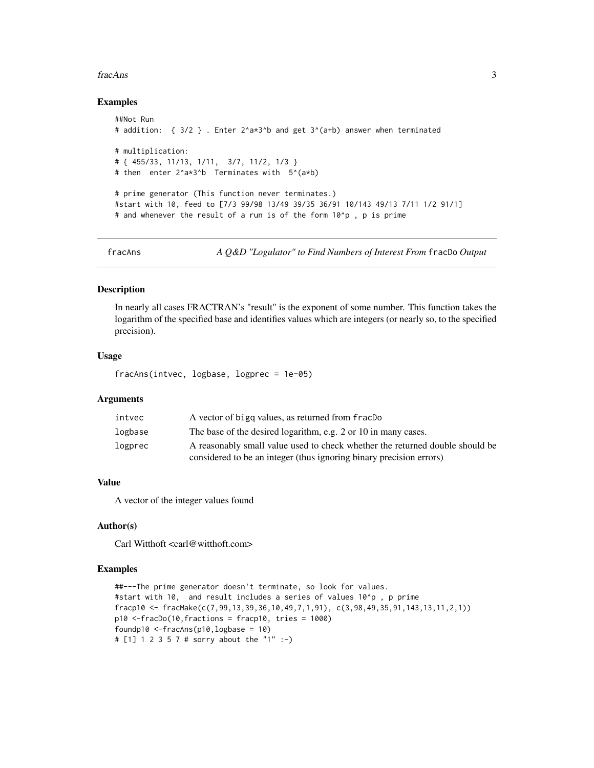#### <span id="page-2-0"></span>fracAns 3

#### Examples

```
##Not Run
# addition: { 3/2 } . Enter 2^a*3^b and get 3^(a+b) answer when terminated
# multiplication:
# { 455/33, 11/13, 1/11, 3/7, 11/2, 1/3 }
# then enter 2^a*3^b Terminates with 5^(a*b)
# prime generator (This function never terminates.)
#start with 10, feed to [7/3 99/98 13/49 39/35 36/91 10/143 49/13 7/11 1/2 91/1]
# and whenever the result of a run is of the form 10^p , p is prime
```
fracAns *A Q&D "Logulator" to Find Numbers of Interest From* fracDo *Output*

#### Description

In nearly all cases FRACTRAN's "result" is the exponent of some number. This function takes the logarithm of the specified base and identifies values which are integers (or nearly so, to the specified precision).

#### Usage

fracAns(intvec, logbase, logprec = 1e-05)

#### Arguments

| intvec  | A vector of bigg values, as returned from fracDo                                                                                                    |
|---------|-----------------------------------------------------------------------------------------------------------------------------------------------------|
| logbase | The base of the desired logarithm, e.g. 2 or 10 in many cases.                                                                                      |
| logprec | A reasonably small value used to check whether the returned double should be<br>considered to be an integer (thus ignoring binary precision errors) |

#### Value

A vector of the integer values found

#### Author(s)

Carl Witthoft <carl@witthoft.com>

#### Examples

```
##---The prime generator doesn't terminate, so look for values.
#start with 10, and result includes a series of values 10^p , p prime
fracp10 <- fracMake(c(7,99,13,39,36,10,49,7,1,91), c(3,98,49,35,91,143,13,11,2,1))
p10 <-fracDo(10,fractions = fracp10, tries = 1000)
foundp10 <-fracAns(p10,logbase = 10)
# [1] 1 2 3 5 7 # sorry about the "1" :-)
```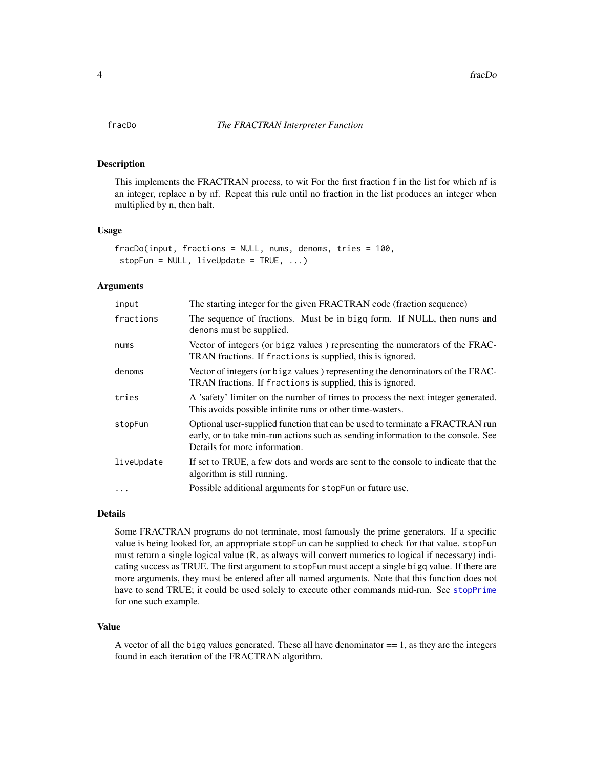#### <span id="page-3-0"></span>Description

This implements the FRACTRAN process, to wit For the first fraction f in the list for which nf is an integer, replace n by nf. Repeat this rule until no fraction in the list produces an integer when multiplied by n, then halt.

#### Usage

```
fracDo(input, fractions = NULL, nums, denoms, tries = 100,
stopFun = NULL, liveUpdate = TRUE, ...)
```
#### Arguments

| input      | The starting integer for the given FRACTRAN code (fraction sequence)                                                                                                                               |
|------------|----------------------------------------------------------------------------------------------------------------------------------------------------------------------------------------------------|
| fractions  | The sequence of fractions. Must be in bigq form. If NULL, then nums and<br>denoms must be supplied.                                                                                                |
| nums       | Vector of integers (or bigz values) representing the numerators of the FRAC-<br>TRAN fractions. If fractions is supplied, this is ignored.                                                         |
| denoms     | Vector of integers (or bigz values) representing the denominators of the FRAC-<br>TRAN fractions. If fractions is supplied, this is ignored.                                                       |
| tries      | A 'safety' limiter on the number of times to process the next integer generated.<br>This avoids possible infinite runs or other time-wasters.                                                      |
| stopFun    | Optional user-supplied function that can be used to terminate a FRACTRAN run<br>early, or to take min-run actions such as sending information to the console. See<br>Details for more information. |
| liveUpdate | If set to TRUE, a few dots and words are sent to the console to indicate that the<br>algorithm is still running.                                                                                   |
|            | Possible additional arguments for stopFun or future use.                                                                                                                                           |

#### Details

Some FRACTRAN programs do not terminate, most famously the prime generators. If a specific value is being looked for, an appropriate stopFun can be supplied to check for that value. stopFun must return a single logical value (R, as always will convert numerics to logical if necessary) indicating success as TRUE. The first argument to stopFun must accept a single bigq value. If there are more arguments, they must be entered after all named arguments. Note that this function does not have to send TRUE; it could be used solely to execute other commands mid-run. See [stopPrime](#page-5-1) for one such example.

#### Value

A vector of all the bigq values generated. These all have denominator  $=$  1, as they are the integers found in each iteration of the FRACTRAN algorithm.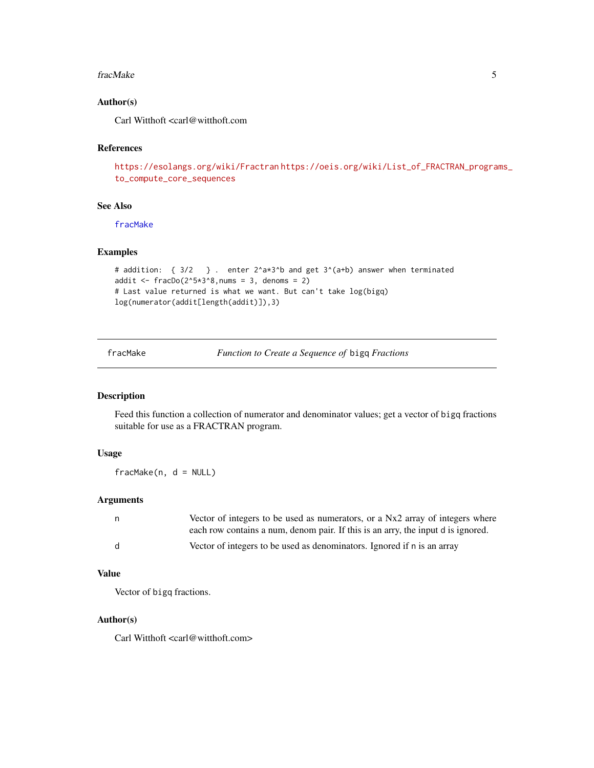#### <span id="page-4-0"></span>fracMake 5

### Author(s)

Carl Witthoft <carl@witthoft.com

#### References

```
https://esolangs.org/wiki/Fractran https://oeis.org/wiki/List_of_FRACTRAN_programs_
to_compute_core_sequences
```
#### See Also

[fracMake](#page-4-1)

#### Examples

```
# addition: { 3/2 } . enter 2^a*3^b and get 3^(a+b) answer when terminated
addit \leq fracDo(2^5*3^8,nums = 3, denoms = 2)
# Last value returned is what we want. But can't take log(bigq)
log(numerator(addit[length(addit)]),3)
```
<span id="page-4-1"></span>fracMake *Function to Create a Sequence of* bigq *Fractions*

#### Description

Feed this function a collection of numerator and denominator values; get a vector of bigq fractions suitable for use as a FRACTRAN program.

### Usage

fracMake(n, d = NULL)

#### Arguments

| n.  | Vector of integers to be used as numerators, or a Nx2 array of integers where    |
|-----|----------------------------------------------------------------------------------|
|     | each row contains a num, denom pair. If this is an arry, the input d is ignored. |
| - d | Vector of integers to be used as denominators. Ignored if n is an array          |

#### Value

Vector of bigq fractions.

#### Author(s)

Carl Witthoft <carl@witthoft.com>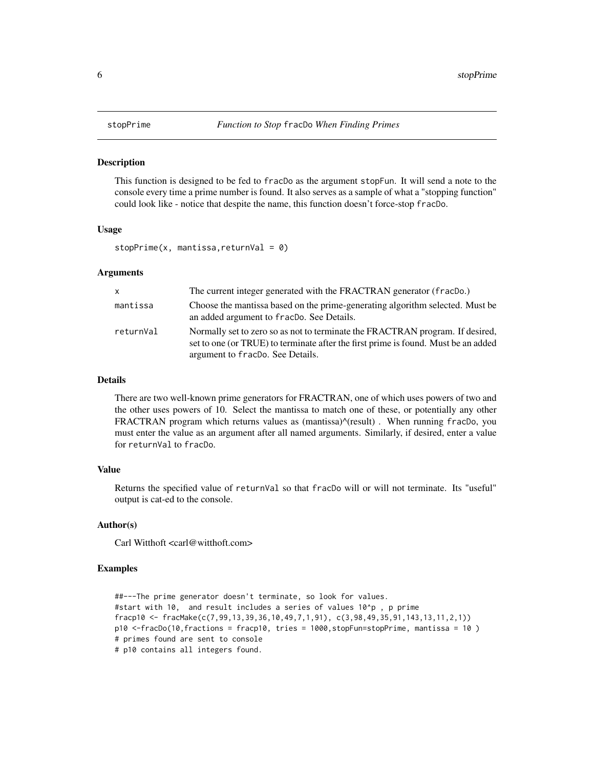#### <span id="page-5-1"></span><span id="page-5-0"></span>Description

This function is designed to be fed to fracDo as the argument stopFun. It will send a note to the console every time a prime number is found. It also serves as a sample of what a "stopping function" could look like - notice that despite the name, this function doesn't force-stop fracDo.

#### Usage

 $stopPrime(x, mantissa, returnVal = 0)$ 

#### Arguments

| $\mathsf{x}$ | The current integer generated with the FRACTRAN generator (fracDo.)                                                                                                                                     |
|--------------|---------------------------------------------------------------------------------------------------------------------------------------------------------------------------------------------------------|
| mantissa     | Choose the mantissa based on the prime-generating algorithm selected. Must be<br>an added argument to fracDo. See Details.                                                                              |
| returnVal    | Normally set to zero so as not to terminate the FRACTRAN program. If desired,<br>set to one (or TRUE) to terminate after the first prime is found. Must be an added<br>argument to fracDo. See Details. |

#### Details

There are two well-known prime generators for FRACTRAN, one of which uses powers of two and the other uses powers of 10. Select the mantissa to match one of these, or potentially any other FRACTRAN program which returns values as (mantissa)^(result) . When running fracDo, you must enter the value as an argument after all named arguments. Similarly, if desired, enter a value for returnVal to fracDo.

#### Value

Returns the specified value of returnVal so that fracDo will or will not terminate. Its "useful" output is cat-ed to the console.

#### Author(s)

Carl Witthoft <carl@witthoft.com>

#### Examples

```
##---The prime generator doesn't terminate, so look for values.
#start with 10, and result includes a series of values 10^p , p prime
fracp10 <- fracMake(c(7,99,13,39,36,10,49,7,1,91), c(3,98,49,35,91,143,13,11,2,1))
p10 <-fracDo(10,fractions = fracp10, tries = 1000,stopFun=stopPrime, mantissa = 10 )
# primes found are sent to console
# p10 contains all integers found.
```